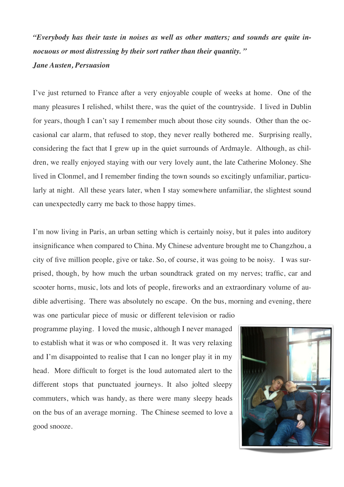*"Everybody has their taste in noises as well as other matters; and sounds are quite innocuous or most distressing by their sort rather than their quantity. "*

## *Jane Austen, Persuasion*

I've just returned to France after a very enjoyable couple of weeks at home. One of the many pleasures I relished, whilst there, was the quiet of the countryside. I lived in Dublin for years, though I can't say I remember much about those city sounds. Other than the occasional car alarm, that refused to stop, they never really bothered me. Surprising really, considering the fact that I grew up in the quiet surrounds of Ardmayle. Although, as children, we really enjoyed staying with our very lovely aunt, the late Catherine Moloney. She lived in Clonmel, and I remember finding the town sounds so excitingly unfamiliar, particularly at night. All these years later, when I stay somewhere unfamiliar, the slightest sound can unexpectedly carry me back to those happy times.

I'm now living in Paris, an urban setting which is certainly noisy, but it pales into auditory insignificance when compared to China. My Chinese adventure brought me to Changzhou, a city of five million people, give or take. So, of course, it was going to be noisy. I was surprised, though, by how much the urban soundtrack grated on my nerves; traffic, car and scooter horns, music, lots and lots of people, fireworks and an extraordinary volume of audible advertising. There was absolutely no escape. On the bus, morning and evening, there

was one particular piece of music or different television or radio programme playing. I loved the music, although I never managed to establish what it was or who composed it. It was very relaxing and I'm disappointed to realise that I can no longer play it in my head. More difficult to forget is the loud automated alert to the different stops that punctuated journeys. It also jolted sleepy commuters, which was handy, as there were many sleepy heads on the bus of an average morning. The Chinese seemed to love a good snooze.

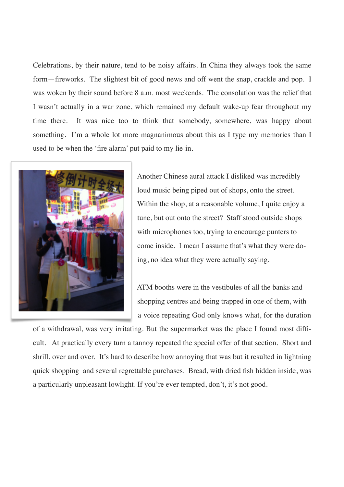Celebrations, by their nature, tend to be noisy affairs. In China they always took the same form—fireworks. The slightest bit of good news and off went the snap, crackle and pop. I was woken by their sound before 8 a.m. most weekends. The consolation was the relief that I wasn't actually in a war zone, which remained my default wake-up fear throughout my time there. It was nice too to think that somebody, somewhere, was happy about something. I'm a whole lot more magnanimous about this as I type my memories than I used to be when the 'fire alarm' put paid to my lie-in.



 Another Chinese aural attack I disliked was incredibly loud music being piped out of shops, onto the street. Within the shop, at a reasonable volume, I quite enjoy a tune, but out onto the street? Staff stood outside shops with microphones too, trying to encourage punters to come inside. I mean I assume that's what they were do ing, no idea what they were actually saying.

 ATM booths were in the vestibules of all the banks and shopping centres and being trapped in one of them, with a voice repeating God only knows what, for the duration

of a withdrawal, was very irritating. But the supermarket was the place I found most difficult. At practically every turn a tannoy repeated the special offer of that section. Short and shrill, over and over. It's hard to describe how annoying that was but it resulted in lightning quick shopping and several regrettable purchases. Bread, with dried fish hidden inside, was a particularly unpleasant lowlight. If you're ever tempted, don't, it's not good.